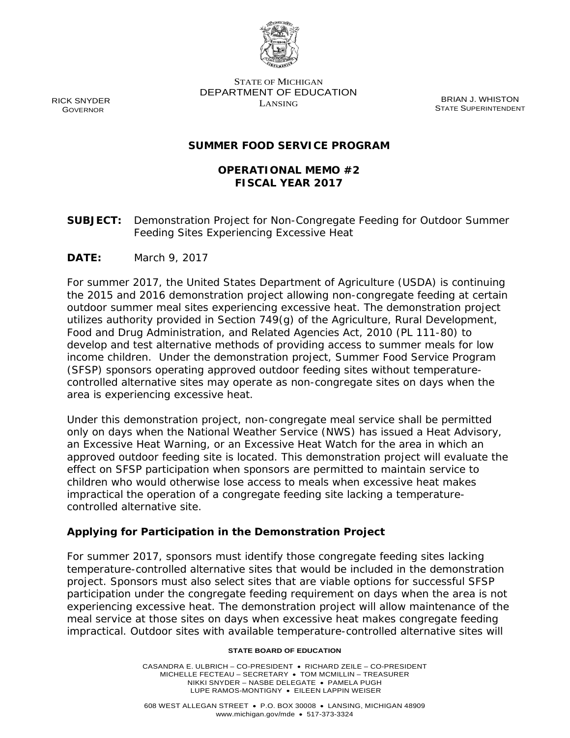

STATE OF MICHIGAN DEPARTMENT OF EDUCATION EXAMPLE BRIAN J. WHISTON

STATE SUPERINTENDENT

## **SUMMER FOOD SERVICE PROGRAM**

## **OPERATIONAL MEMO #2 FISCAL YEAR 2017**

**SUBJECT:** Demonstration Project for Non-Congregate Feeding for Outdoor Summer Feeding Sites Experiencing Excessive Heat

**DATE:** March 9, 2017

For summer 2017, the United States Department of Agriculture (USDA) is continuing the 2015 and 2016 demonstration project allowing non-congregate feeding at certain outdoor summer meal sites experiencing excessive heat. The demonstration project utilizes authority provided in Section 749(g) of the Agriculture, Rural Development, Food and Drug Administration, and Related Agencies Act, 2010 (PL 111-80) to develop and test alternative methods of providing access to summer meals for low income children. Under the demonstration project, Summer Food Service Program (SFSP) sponsors operating approved outdoor feeding sites without temperaturecontrolled alternative sites may operate as non-congregate sites on days when the area is experiencing excessive heat.

Under this demonstration project, non-congregate meal service shall be permitted only on days when the National Weather Service (NWS) has issued a Heat Advisory, an Excessive Heat Warning, or an Excessive Heat Watch for the area in which an approved outdoor feeding site is located. This demonstration project will evaluate the effect on SFSP participation when sponsors are permitted to maintain service to children who would otherwise lose access to meals when excessive heat makes impractical the operation of a congregate feeding site lacking a temperaturecontrolled alternative site.

### **Applying for Participation in the Demonstration Project**

For summer 2017, sponsors must identify those congregate feeding sites lacking temperature-controlled alternative sites that would be included in the demonstration project. Sponsors must also select sites that are viable options for successful SFSP participation under the congregate feeding requirement on days when the area is not experiencing excessive heat. The demonstration project will allow maintenance of the meal service at those sites on days when excessive heat makes congregate feeding impractical. Outdoor sites with available temperature-controlled alternative sites will

#### **STATE BOARD OF EDUCATION**

CASANDRA E. ULBRICH – CO-PRESIDENT • RICHARD ZEILE – CO-PRESIDENT MICHELLE FECTEAU – SECRETARY • TOM MCMILLIN – TREASURER NIKKI SNYDER – NASBE DELEGATE • PAMELA PUGH LUPE RAMOS-MONTIGNY • EILEEN LAPPIN WEISER

RICK SNYDER GOVERNOR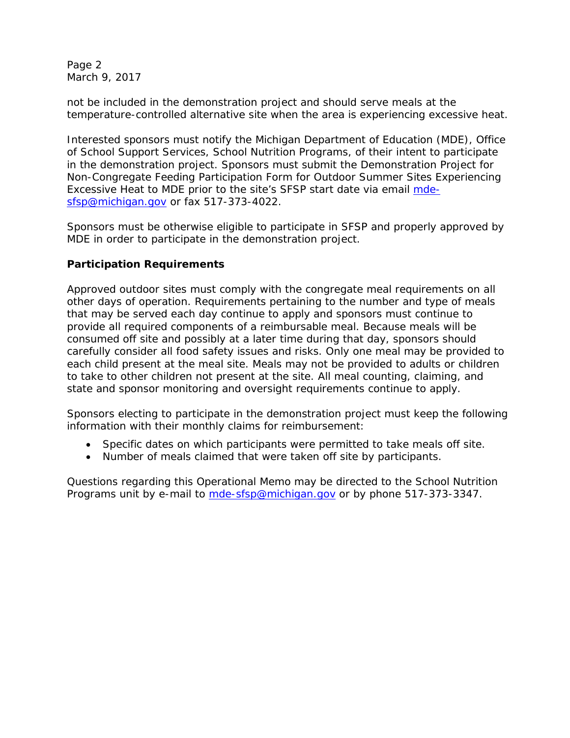Page 2 March 9, 2017

not be included in the demonstration project and should serve meals at the temperature-controlled alternative site when the area is experiencing excessive heat.

Interested sponsors must notify the Michigan Department of Education (MDE), Office of School Support Services, School Nutrition Programs, of their intent to participate in the demonstration project. Sponsors must submit the Demonstration Project for Non-Congregate Feeding Participation Form for Outdoor Summer Sites Experiencing Excessive Heat to MDE prior to the site's SFSP start date via email [mde](mailto:mde-sfsp@michigan.gov)[sfsp@michigan.gov](mailto:mde-sfsp@michigan.gov) or fax 517-373-4022.

Sponsors must be otherwise eligible to participate in SFSP and properly approved by MDE in order to participate in the demonstration project.

## **Participation Requirements**

Approved outdoor sites must comply with the congregate meal requirements on all other days of operation. Requirements pertaining to the number and type of meals that may be served each day continue to apply and sponsors must continue to provide all required components of a reimbursable meal. Because meals will be consumed off site and possibly at a later time during that day, sponsors should carefully consider all food safety issues and risks. Only one meal may be provided to each child present at the meal site. Meals may not be provided to adults or children to take to other children not present at the site. All meal counting, claiming, and state and sponsor monitoring and oversight requirements continue to apply.

Sponsors electing to participate in the demonstration project must keep the following information with their monthly claims for reimbursement:

- Specific dates on which participants were permitted to take meals off site.
- Number of meals claimed that were taken off site by participants.

Questions regarding this Operational Memo may be directed to the School Nutrition Programs unit by e-mail to [mde-sfsp@michigan.gov](mailto:mde-sfsp@michigan.gov) or by phone 517-373-3347.